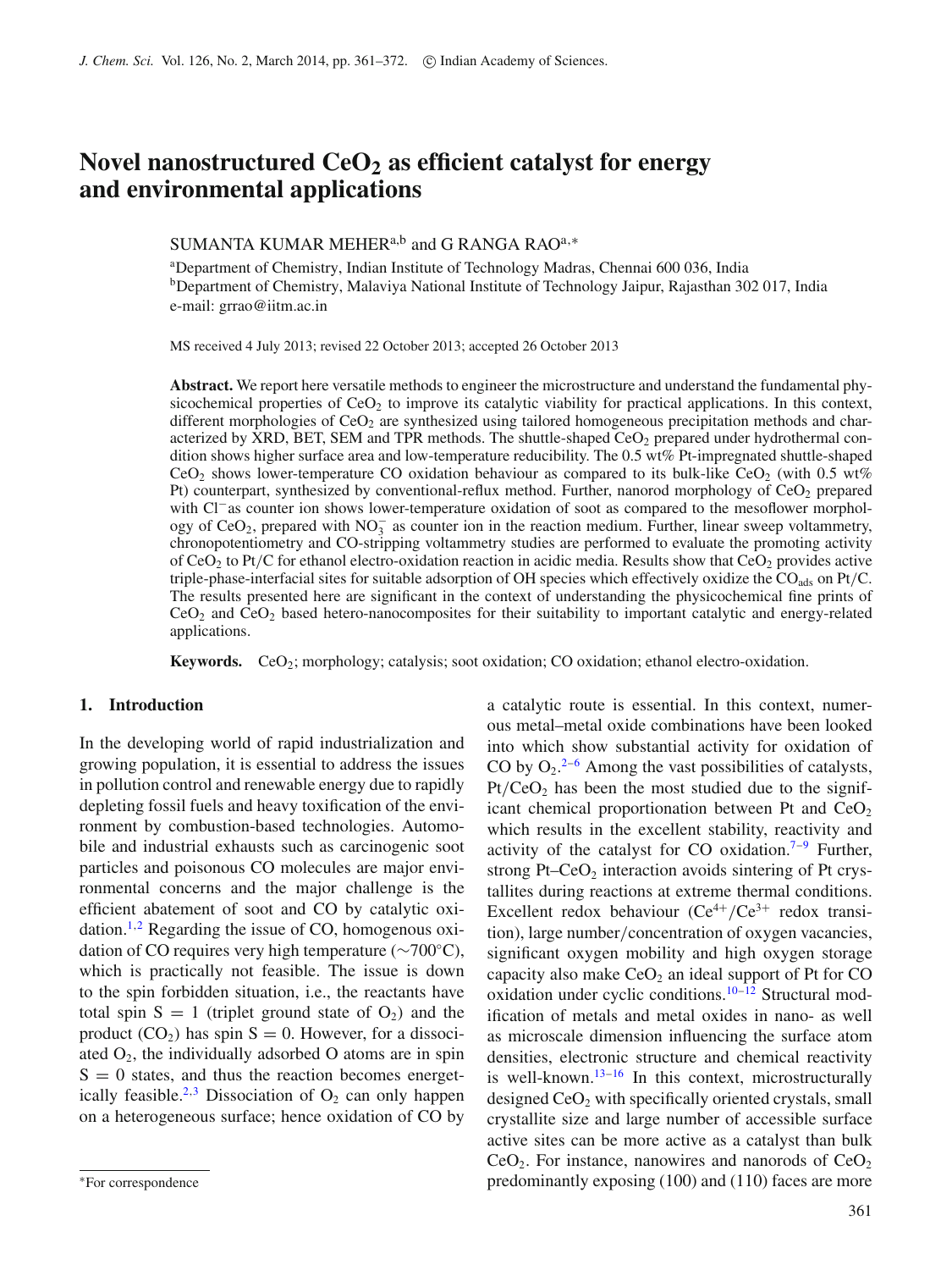# **Novel nanostructured CeO2 as efficient catalyst for energy and environmental applications**

# SUMANTA KUMAR MEHER<sup>a,b</sup> and G RANGA RAO<sup>a,\*</sup>

a Department of Chemistry, Indian Institute of Technology Madras, Chennai 600 036, India <sup>b</sup>Department of Chemistry, Malaviya National Institute of Technology Jaipur, Rajasthan 302 017, India e-mail: grrao@iitm.ac.in

MS received 4 July 2013; revised 22 October 2013; accepted 26 October 2013

**Abstract.** We report here versatile methods to engineer the microstructure and understand the fundamental physicochemical properties of  $CeO<sub>2</sub>$  to improve its catalytic viability for practical applications. In this context, different morphologies of  $CeO<sub>2</sub>$  are synthesized using tailored homogeneous precipitation methods and characterized by XRD, BET, SEM and TPR methods. The shuttle-shaped  $CeO<sub>2</sub>$  prepared under hydrothermal condition shows higher surface area and low-temperature reducibility. The 0.5 wt% Pt-impregnated shuttle-shaped CeO<sub>2</sub> shows lower-temperature CO oxidation behaviour as compared to its bulk-like CeO<sub>2</sub> (with 0.5 wt%) Pt) counterpart, synthesized by conventional-reflux method. Further, nanorod morphology of  $CeO<sub>2</sub>$  prepared with Cl<sup>−</sup>as counter ion shows lower-temperature oxidation of soot as compared to the mesoflower morphology of  $CeO<sub>2</sub>$ , prepared with  $NO<sub>3</sub><sup>-</sup>$  as counter ion in the reaction medium. Further, linear sweep voltammetry, chronopotentiometry and CO-stripping voltammetry studies are performed to evaluate the promoting activity of CeO<sub>2</sub> to Pt/C for ethanol electro-oxidation reaction in acidic media. Results show that CeO<sub>2</sub> provides active triple-phase-interfacial sites for suitable adsorption of OH species which effectively oxidize the COads on Pt*/*C. The results presented here are significant in the context of understanding the physicochemical fine prints of  $CeO<sub>2</sub>$  and  $CeO<sub>2</sub>$  based hetero-nanocomposites for their suitability to important catalytic and energy-related applications.

**Keywords.** CeO2; morphology; catalysis; soot oxidation; CO oxidation; ethanol electro-oxidation.

#### **1. Introduction**

In the developing world of rapid industrialization and growing population, it is essential to address the issues in pollution control and renewable energy due to rapidly depleting fossil fuels and heavy toxification of the environment by combustion-based technologies. Automobile and industrial exhausts such as carcinogenic soot particles and poisonous CO molecules are major environmental concerns and the major challenge is the efficient abatement of soot and CO by catalytic oxi-dation.<sup>1,[2](#page-10-1)</sup> Regarding the issue of CO, homogenous oxidation of CO requires very high temperature (∼700◦C), which is practically not feasible. The issue is down to the spin forbidden situation, i.e., the reactants have total spin  $S = 1$  (triplet ground state of  $O_2$ ) and the product  $(CO_2)$  has spin  $S = 0$ . However, for a dissociated  $O_2$ , the individually adsorbed O atoms are in spin  $S = 0$  states, and thus the reaction becomes energet-ically feasible.<sup>2,[3](#page-10-2)</sup> Dissociation of  $O_2$  can only happen on a heterogeneous surface; hence oxidation of CO by a catalytic route is essential. In this context, numerous metal–metal oxide combinations have been looked into which show substantial activity for oxidation of CO by  $O_2$ .<sup>2-[6](#page-11-0)</sup> Among the vast possibilities of catalysts,  $Pt/CeO<sub>2</sub>$  has been the most studied due to the significant chemical proportionation between Pt and  $CeO<sub>2</sub>$ which results in the excellent stability, reactivity and activity of the catalyst for CO oxidation.<sup>7-9</sup> Further, strong Pt–CeO<sub>2</sub> interaction avoids sintering of Pt crystallites during reactions at extreme thermal conditions. Excellent redox behaviour  $(Ce^{4+}/Ce^{3+})$  redox transition), large number*/*concentration of oxygen vacancies, significant oxygen mobility and high oxygen storage capacity also make  $CeO<sub>2</sub>$  an ideal support of Pt for CO oxidation under cyclic conditions.<sup>10[–12](#page-11-4)</sup> Structural modification of metals and metal oxides in nano- as well as microscale dimension influencing the surface atom densities, electronic structure and chemical reactivity is well-known. $13-16$  $13-16$  In this context, microstructurally designed  $CeO<sub>2</sub>$  with specifically oriented crystals, small crystallite size and large number of accessible surface active sites can be more active as a catalyst than bulk  $CeO<sub>2</sub>$ . For instance, nanowires and nanorods of  $CeO<sub>2</sub>$ predominantly exposing (100) and (110) faces are more

<sup>∗</sup>For correspondence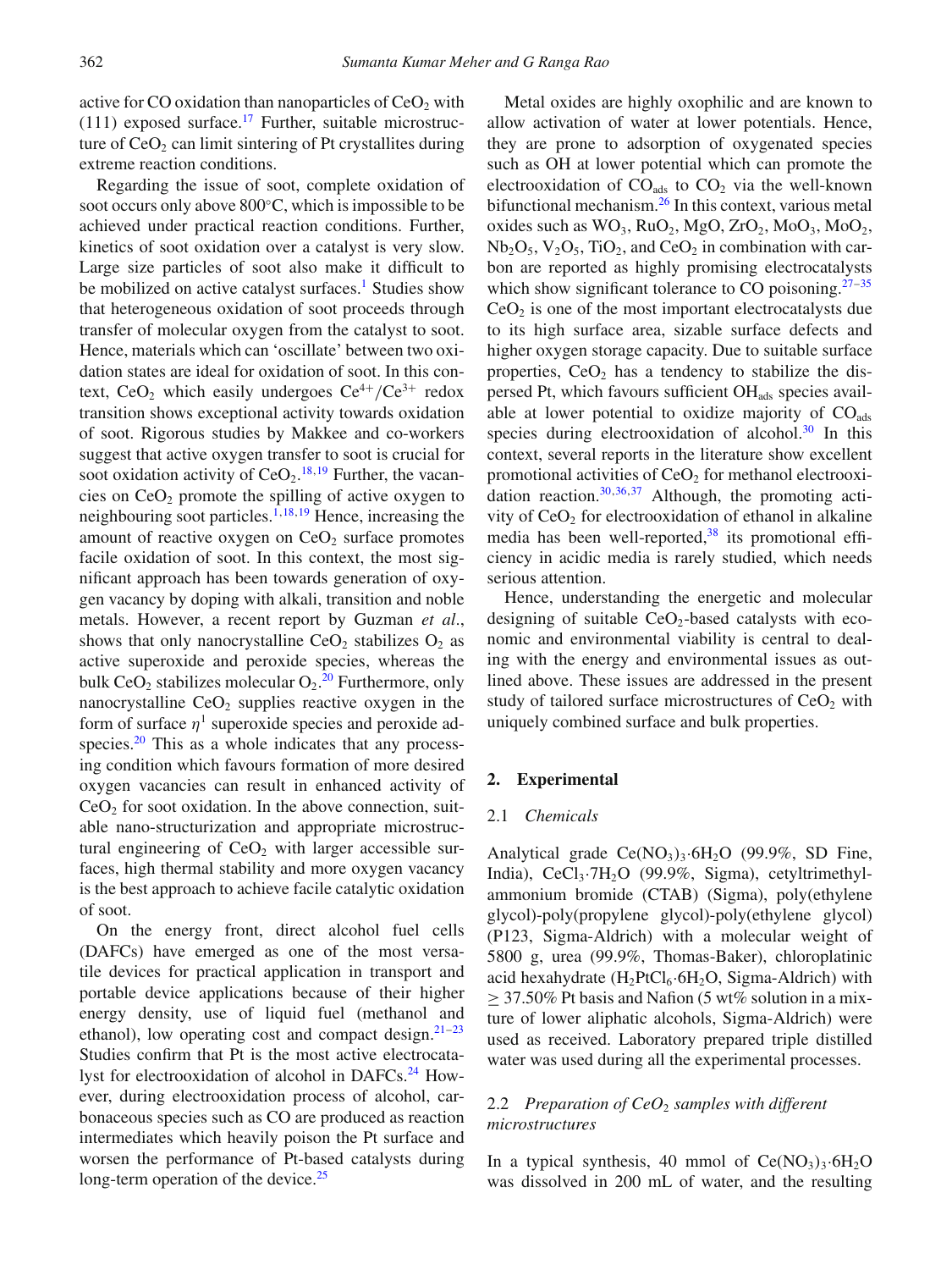active for CO oxidation than nanoparticles of  $CeO<sub>2</sub>$  with  $(111)$  exposed surface.<sup>17</sup> Further, suitable microstructure of  $CeO<sub>2</sub>$  can limit sintering of Pt crystallites during extreme reaction conditions.

Regarding the issue of soot, complete oxidation of soot occurs only above 800◦C, which is impossible to be achieved under practical reaction conditions. Further, kinetics of soot oxidation over a catalyst is very slow. Large size particles of soot also make it difficult to be mobilized on active catalyst surfaces.<sup>1</sup> Studies show that heterogeneous oxidation of soot proceeds through transfer of molecular oxygen from the catalyst to soot. Hence, materials which can 'oscillate' between two oxidation states are ideal for oxidation of soot. In this context, CeO<sub>2</sub> which easily undergoes  $Ce^{4+}/Ce^{3+}$  redox transition shows exceptional activity towards oxidation of soot. Rigorous studies by Makkee and co-workers suggest that active oxygen transfer to soot is crucial for soot oxidation activity of  $CeO<sub>2</sub>$ .<sup>[18](#page-11-8)[,19](#page-11-9)</sup> Further, the vacancies on CeO2 promote the spilling of active oxygen to neighbouring soot particles.<sup>1[,18,](#page-11-8)[19](#page-11-9)</sup> Hence, increasing the amount of reactive oxygen on  $CeO<sub>2</sub>$  surface promotes facile oxidation of soot. In this context, the most significant approach has been towards generation of oxygen vacancy by doping with alkali, transition and noble metals. However, a recent report by Guzman *et al*., shows that only nanocrystalline  $CeO<sub>2</sub>$  stabilizes  $O<sub>2</sub>$  as active superoxide and peroxide species, whereas the bulk  $CeO<sub>2</sub>$  stabilizes molecular  $O<sub>2</sub>$ .<sup>[20](#page-11-10)</sup> Furthermore, only nanocrystalline  $CeO<sub>2</sub>$  supplies reactive oxygen in the form of surface  $\eta^1$  superoxide species and peroxide adspecies. $20$  This as a whole indicates that any processing condition which favours formation of more desired oxygen vacancies can result in enhanced activity of  $CeO<sub>2</sub>$  for soot oxidation. In the above connection, suitable nano-structurization and appropriate microstructural engineering of  $CeO<sub>2</sub>$  with larger accessible surfaces, high thermal stability and more oxygen vacancy is the best approach to achieve facile catalytic oxidation of soot.

On the energy front, direct alcohol fuel cells (DAFCs) have emerged as one of the most versatile devices for practical application in transport and portable device applications because of their higher energy density, use of liquid fuel (methanol and ethanol), low operating cost and compact design. $21-23$  $21-23$ Studies confirm that Pt is the most active electrocatalyst for electrooxidation of alcohol in DAFCs.<sup>24</sup> However, during electrooxidation process of alcohol, carbonaceous species such as CO are produced as reaction intermediates which heavily poison the Pt surface and worsen the performance of Pt-based catalysts during long-term operation of the device. $25$ 

Metal oxides are highly oxophilic and are known to allow activation of water at lower potentials. Hence, they are prone to adsorption of oxygenated species such as OH at lower potential which can promote the electrooxidation of  $CO<sub>ads</sub>$  to  $CO<sub>2</sub>$  via the well-known bifunctional mechanism.<sup>26</sup> In this context, various metal oxides such as  $WO_3$ ,  $RuO_2$ ,  $MgO$ ,  $ZrO_2$ ,  $MoO_3$ ,  $MoO_2$ ,  $Nb<sub>2</sub>O<sub>5</sub>, V<sub>2</sub>O<sub>5</sub>, TiO<sub>2</sub>$ , and CeO<sub>2</sub> in combination with carbon are reported as highly promising electrocatalysts which show significant tolerance to CO poisoning.<sup>27–[35](#page-11-17)</sup>  $CeO<sub>2</sub>$  is one of the most important electrocatalysts due to its high surface area, sizable surface defects and higher oxygen storage capacity. Due to suitable surface properties,  $CeO<sub>2</sub>$  has a tendency to stabilize the dispersed Pt, which favours sufficient OH<sub>ads</sub> species available at lower potential to oxidize majority of  $CO<sub>ads</sub>$ species during electrooxidation of alcohol. $30$  In this context, several reports in the literature show excellent promotional activities of  $CeO<sub>2</sub>$  for methanol electrooxi-dation reaction.<sup>30[,36,](#page-11-19)[37](#page-11-20)</sup> Although, the promoting activity of  $CeO<sub>2</sub>$  for electrooxidation of ethanol in alkaline media has been well-reported, $38$  its promotional efficiency in acidic media is rarely studied, which needs serious attention.

Hence, understanding the energetic and molecular designing of suitable  $CeO<sub>2</sub>$ -based catalysts with economic and environmental viability is central to dealing with the energy and environmental issues as outlined above. These issues are addressed in the present study of tailored surface microstructures of  $CeO<sub>2</sub>$  with uniquely combined surface and bulk properties.

#### **2. Experimental**

#### 2.1 *Chemicals*

Analytical grade  $Ce(NO<sub>3</sub>)<sub>3</sub>·6H<sub>2</sub>O$  (99.9%, SD Fine, India), CeCl<sub>3</sub>·7H<sub>2</sub>O (99.9%, Sigma), cetyltrimethylammonium bromide (CTAB) (Sigma), poly(ethylene glycol)-poly(propylene glycol)-poly(ethylene glycol) (P123, Sigma-Aldrich) with a molecular weight of 5800 g, urea (99.9%, Thomas-Baker), chloroplatinic acid hexahydrate  $(H_2PtCl_6.6H_2O,$  Sigma-Aldrich) with  $\geq$  37.50% Pt basis and Nafion (5 wt% solution in a mixture of lower aliphatic alcohols, Sigma-Aldrich) were used as received. Laboratory prepared triple distilled water was used during all the experimental processes.

### 2.2 *Preparation of CeO<sub>2</sub> samples with different microstructures*

In a typical synthesis, 40 mmol of  $Ce(NO<sub>3</sub>)<sub>3</sub>·6H<sub>2</sub>O$ was dissolved in 200 mL of water, and the resulting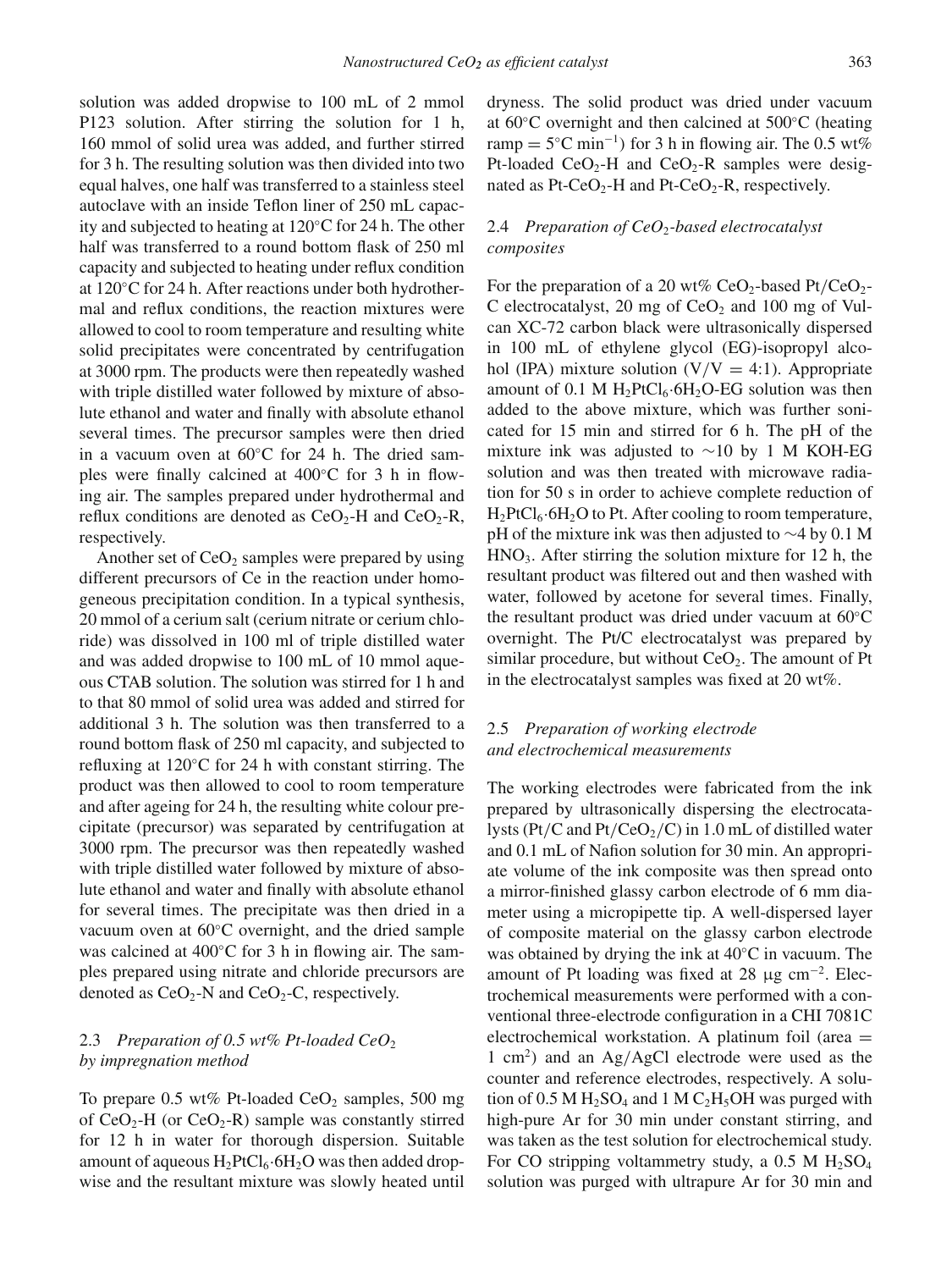solution was added dropwise to 100 mL of 2 mmol P123 solution. After stirring the solution for 1 h, 160 mmol of solid urea was added, and further stirred for 3 h. The resulting solution was then divided into two equal halves, one half was transferred to a stainless steel autoclave with an inside Teflon liner of 250 mL capacity and subjected to heating at 120◦C for 24 h. The other half was transferred to a round bottom flask of 250 ml capacity and subjected to heating under reflux condition at 120◦C for 24 h. After reactions under both hydrothermal and reflux conditions, the reaction mixtures were allowed to cool to room temperature and resulting white solid precipitates were concentrated by centrifugation at 3000 rpm. The products were then repeatedly washed with triple distilled water followed by mixture of absolute ethanol and water and finally with absolute ethanol several times. The precursor samples were then dried in a vacuum oven at 60◦C for 24 h. The dried samples were finally calcined at 400◦C for 3 h in flowing air. The samples prepared under hydrothermal and reflux conditions are denoted as  $CeO<sub>2</sub>$ -H and  $CeO<sub>2</sub>$ -R, respectively.

Another set of  $CeO<sub>2</sub>$  samples were prepared by using different precursors of Ce in the reaction under homogeneous precipitation condition. In a typical synthesis, 20 mmol of a cerium salt (cerium nitrate or cerium chloride) was dissolved in 100 ml of triple distilled water and was added dropwise to 100 mL of 10 mmol aqueous CTAB solution. The solution was stirred for 1 h and to that 80 mmol of solid urea was added and stirred for additional 3 h. The solution was then transferred to a round bottom flask of 250 ml capacity, and subjected to refluxing at 120◦C for 24 h with constant stirring. The product was then allowed to cool to room temperature and after ageing for 24 h, the resulting white colour precipitate (precursor) was separated by centrifugation at 3000 rpm. The precursor was then repeatedly washed with triple distilled water followed by mixture of absolute ethanol and water and finally with absolute ethanol for several times. The precipitate was then dried in a vacuum oven at 60◦C overnight, and the dried sample was calcined at 400◦C for 3 h in flowing air. The samples prepared using nitrate and chloride precursors are denoted as  $CeO<sub>2</sub>$ -N and  $CeO<sub>2</sub>$ -C, respectively.

# 2.3 *Preparation of 0.5 wt% Pt-loaded CeO*<sup>2</sup> *by impregnation method*

To prepare 0.5 wt% Pt-loaded  $CeO<sub>2</sub>$  samples, 500 mg of  $CeO<sub>2</sub>-H$  (or  $CeO<sub>2</sub>-R$ ) sample was constantly stirred for 12 h in water for thorough dispersion. Suitable amount of aqueous  $H_2PtCl_6·6H_2O$  was then added dropwise and the resultant mixture was slowly heated until dryness. The solid product was dried under vacuum at 60◦C overnight and then calcined at 500◦C (heating ramp =  $5^{\circ}$ C min<sup>-1</sup>) for 3 h in flowing air. The 0.5 wt% Pt-loaded  $CeO<sub>2</sub>$ -H and  $CeO<sub>2</sub>$ -R samples were designated as Pt-CeO<sub>2</sub>-H and Pt-CeO<sub>2</sub>-R, respectively.

## 2.4 *Preparation of CeO*2*-based electrocatalyst composites*

For the preparation of a 20 wt%  $CeO<sub>2</sub>$ -based Pt/CeO<sub>2</sub>-C electrocatalyst, 20 mg of  $CeO<sub>2</sub>$  and 100 mg of Vulcan XC-72 carbon black were ultrasonically dispersed in 100 mL of ethylene glycol (EG)-isopropyl alcohol (IPA) mixture solution  $(V/V = 4:1)$ . Appropriate amount of 0.1 M  $H_2PtCl_6.6H_2O-EG$  solution was then added to the above mixture, which was further sonicated for 15 min and stirred for 6 h. The pH of the mixture ink was adjusted to ∼10 by 1 M KOH-EG solution and was then treated with microwave radiation for 50 s in order to achieve complete reduction of  $H_2PtCl_6·6H_2O$  to Pt. After cooling to room temperature, pH of the mixture ink was then adjusted to ∼4 by 0.1 M  $HNO<sub>3</sub>$ . After stirring the solution mixture for 12 h, the resultant product was filtered out and then washed with water, followed by acetone for several times. Finally, the resultant product was dried under vacuum at 60◦C overnight. The Pt/C electrocatalyst was prepared by similar procedure, but without  $CeO<sub>2</sub>$ . The amount of Pt in the electrocatalyst samples was fixed at 20 wt%.

### 2.5 *Preparation of working electrode and electrochemical measurements*

The working electrodes were fabricated from the ink prepared by ultrasonically dispersing the electrocatalysts (Pt/C and Pt/CeO<sub>2</sub>/C) in 1.0 mL of distilled water and 0.1 mL of Nafion solution for 30 min. An appropriate volume of the ink composite was then spread onto a mirror-finished glassy carbon electrode of 6 mm diameter using a micropipette tip. A well-dispersed layer of composite material on the glassy carbon electrode was obtained by drying the ink at 40◦C in vacuum. The amount of Pt loading was fixed at 28  $\mu$ g cm<sup>-2</sup>. Electrochemical measurements were performed with a conventional three-electrode configuration in a CHI 7081C electrochemical workstation. A platinum foil (area  $=$ 1 cm2*)* and an Ag*/*AgCl electrode were used as the counter and reference electrodes, respectively. A solution of 0.5 M  $H_2SO_4$  and 1 M C<sub>2</sub>H<sub>5</sub>OH was purged with high-pure Ar for 30 min under constant stirring, and was taken as the test solution for electrochemical study. For CO stripping voltammetry study, a  $0.5$  M  $H<sub>2</sub>SO<sub>4</sub>$ solution was purged with ultrapure Ar for 30 min and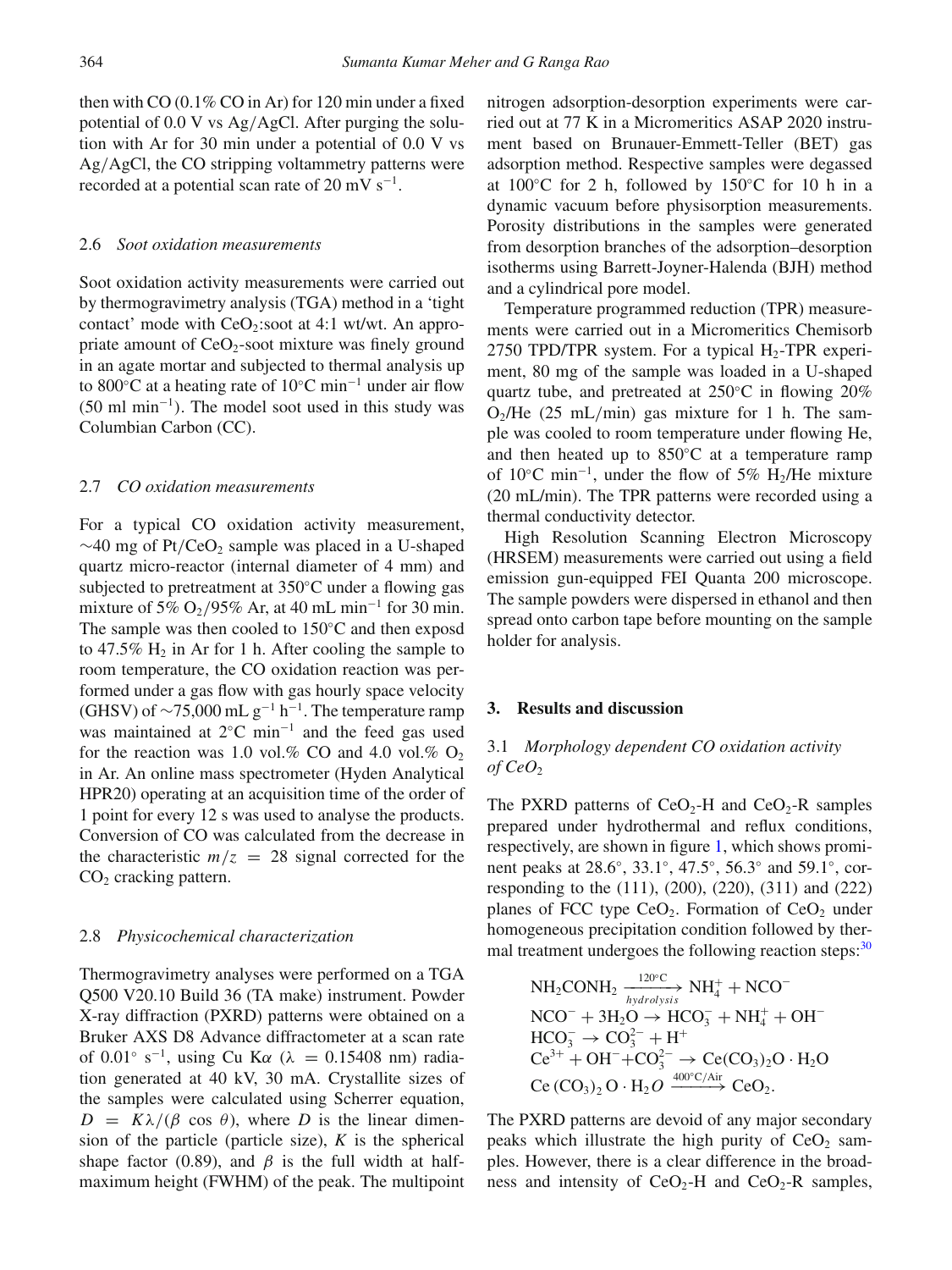then with CO (0.1% CO in Ar) for 120 min under a fixed potential of 0.0 V vs Ag*/*AgCl. After purging the solution with Ar for 30 min under a potential of 0.0 V vs Ag*/*AgCl, the CO stripping voltammetry patterns were recorded at a potential scan rate of 20 mV  $s^{-1}$ .

#### 2.6 *Soot oxidation measurements*

Soot oxidation activity measurements were carried out by thermogravimetry analysis (TGA) method in a 'tight contact' mode with  $CeO<sub>2</sub>$ :soot at 4:1 wt/wt. An appropriate amount of  $CeO<sub>2</sub>$ -soot mixture was finely ground in an agate mortar and subjected to thermal analysis up to 800◦C at a heating rate of 10◦C min−<sup>1</sup> under air flow (50 ml min−<sup>1</sup>*)*. The model soot used in this study was Columbian Carbon (CC).

#### 2.7 *CO oxidation measurements*

For a typical CO oxidation activity measurement, ∼40 mg of Pt/CeO<sub>2</sub> sample was placed in a U-shaped quartz micro-reactor (internal diameter of 4 mm) and subjected to pretreatment at 350◦C under a flowing gas mixture of 5% O<sub>2</sub>/95% Ar, at 40 mL min<sup>-1</sup> for 30 min. The sample was then cooled to 150◦C and then exposd to 47.5%  $H_2$  in Ar for 1 h. After cooling the sample to room temperature, the CO oxidation reaction was performed under a gas flow with gas hourly space velocity (GHSV) of  $\sim$ 75,000 mL g<sup>-1</sup> h<sup>-1</sup>. The temperature ramp was maintained at 2◦C min−<sup>1</sup> and the feed gas used for the reaction was 1.0 vol.% CO and 4.0 vol.%  $O_2$ in Ar. An online mass spectrometer (Hyden Analytical HPR20) operating at an acquisition time of the order of 1 point for every 12 s was used to analyse the products. Conversion of CO was calculated from the decrease in the characteristic  $m/z = 28$  signal corrected for the  $CO<sub>2</sub>$  cracking pattern.

#### 2.8 *Physicochemical characterization*

Thermogravimetry analyses were performed on a TGA Q500 V20.10 Build 36 (TA make) instrument. Powder X-ray diffraction (PXRD) patterns were obtained on a Bruker AXS D8 Advance diffractometer at a scan rate of 0.01◦ s−1, using Cu K*α* (*λ* = 0.15408 nm) radiation generated at 40 kV, 30 mA. Crystallite sizes of the samples were calculated using Scherrer equation,  $D = K\lambda/(\beta \cos \theta)$ , where *D* is the linear dimension of the particle (particle size), *K* is the spherical shape factor (0.89), and  $\beta$  is the full width at halfmaximum height (FWHM) of the peak. The multipoint nitrogen adsorption-desorption experiments were carried out at 77 K in a Micromeritics ASAP 2020 instrument based on Brunauer-Emmett-Teller (BET) gas adsorption method. Respective samples were degassed at  $100\degree$ C for 2 h, followed by 150 $\degree$ C for 10 h in a dynamic vacuum before physisorption measurements. Porosity distributions in the samples were generated from desorption branches of the adsorption–desorption isotherms using Barrett-Joyner-Halenda (BJH) method and a cylindrical pore model.

Temperature programmed reduction (TPR) measurements were carried out in a Micromeritics Chemisorb 2750 TPD/TPR system. For a typical  $H_2$ -TPR experiment, 80 mg of the sample was loaded in a U-shaped quartz tube, and pretreated at 250◦C in flowing 20% O2/He (25 mL*/*min) gas mixture for 1 h. The sample was cooled to room temperature under flowing He, and then heated up to 850◦C at a temperature ramp of 10 $\degree$ C min<sup>-1</sup>, under the flow of 5% H<sub>2</sub>/He mixture (20 mL/min). The TPR patterns were recorded using a thermal conductivity detector.

High Resolution Scanning Electron Microscopy (HRSEM) measurements were carried out using a field emission gun-equipped FEI Quanta 200 microscope. The sample powders were dispersed in ethanol and then spread onto carbon tape before mounting on the sample holder for analysis.

#### **3. Results and discussion**

## 3.1 *Morphology dependent CO oxidation activity of*  $CeO<sub>2</sub>$

The PXRD patterns of  $CeO<sub>2</sub>-H$  and  $CeO<sub>2</sub>-R$  samples prepared under hydrothermal and reflux conditions, respectively, are shown in figure [1,](#page-4-0) which shows prominent peaks at 28.6◦, 33.1◦, 47.5◦, 56.3◦ and 59.1◦, corresponding to the (111), (200), (220), (311) and (222) planes of FCC type  $CeO<sub>2</sub>$ . Formation of  $CeO<sub>2</sub>$  under homogeneous precipitation condition followed by thermal treatment undergoes the following reaction steps: $30$ 

NH<sub>2</sub>CONH<sub>2</sub> 
$$
\xrightarrow[hydrolysis]
$$
 NH<sub>4</sub><sup>+</sup> + NCO<sup>-</sup>  
NCO<sup>-</sup> + 3H<sub>2</sub>O  $\rightarrow$  HCO<sub>3</sub><sup>-</sup> + NH<sub>4</sub><sup>+</sup> + OH<sup>-</sup>  
HCO<sub>3</sub><sup>-</sup>  $\rightarrow$  CO<sub>3</sub><sup>2-</sup> + H<sup>+</sup>  
Ce<sup>3+</sup> + OH<sup>-</sup> + CO<sub>3</sub><sup>2-</sup>  $\rightarrow$  Ce(CO<sub>3</sub>)<sub>2</sub>O · H<sub>2</sub>O  
Ce (CO<sub>3</sub>)<sub>2</sub> O · H<sub>2</sub>O  $\xrightarrow{400^{\circ}$ C/Air} CeO<sub>2</sub>.

The PXRD patterns are devoid of any major secondary peaks which illustrate the high purity of  $CeO<sub>2</sub>$  samples. However, there is a clear difference in the broadness and intensity of  $CeO<sub>2</sub>-H$  and  $CeO<sub>2</sub>-R$  samples,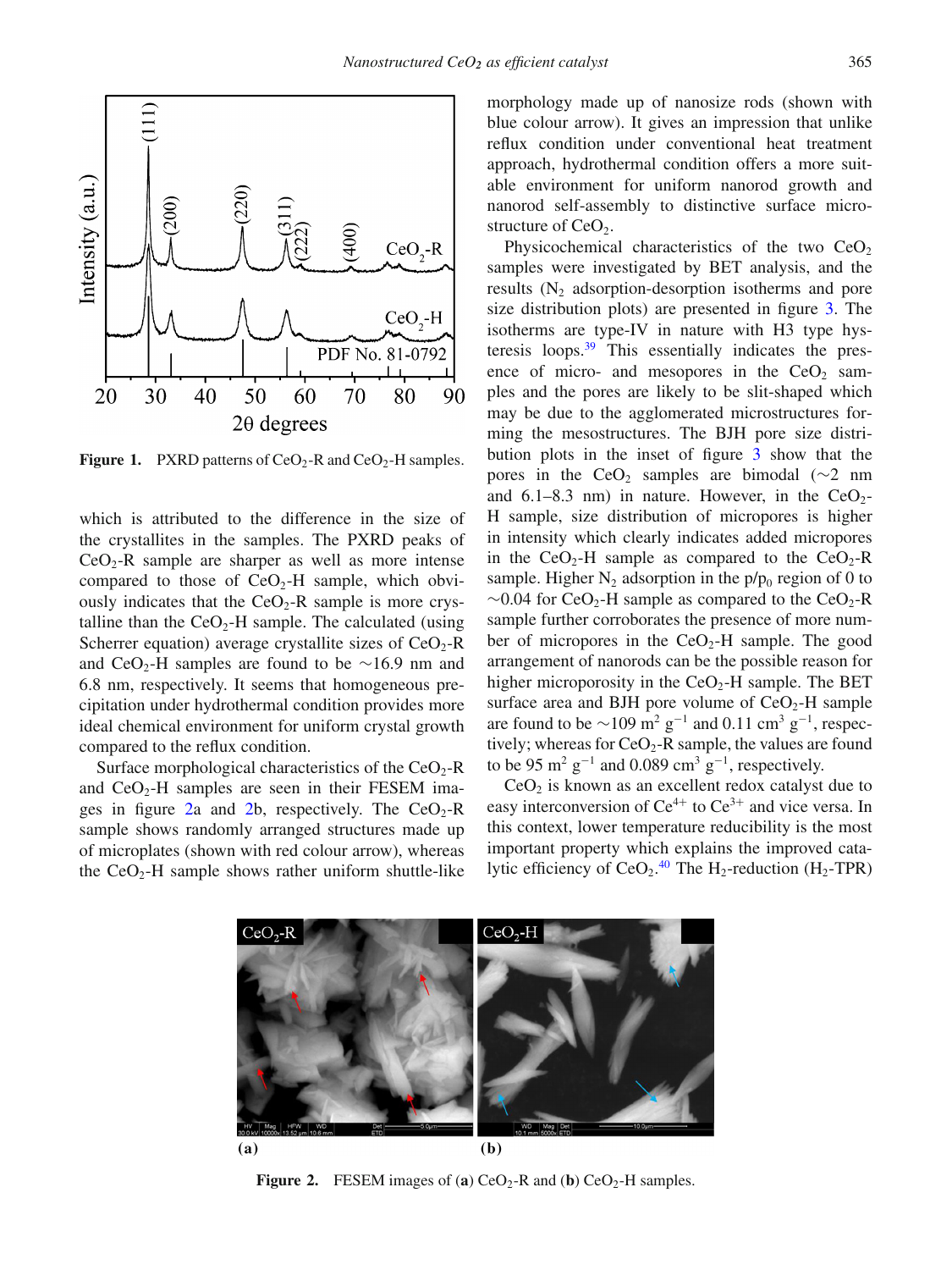<span id="page-4-0"></span>

**Figure 1.** PXRD patterns of  $CeO<sub>2</sub>$ -R and  $CeO<sub>2</sub>$ -H samples.

which is attributed to the difference in the size of the crystallites in the samples. The PXRD peaks of  $CeO<sub>2</sub>-R$  sample are sharper as well as more intense compared to those of  $CeO<sub>2</sub>-H$  sample, which obviously indicates that the  $CeO<sub>2</sub>$ -R sample is more crystalline than the  $CeO<sub>2</sub>$ -H sample. The calculated (using Scherrer equation) average crystallite sizes of  $CeO<sub>2</sub>-R$ and CeO<sub>2</sub>-H samples are found to be  $\sim$ 16.9 nm and 6.8 nm, respectively. It seems that homogeneous precipitation under hydrothermal condition provides more ideal chemical environment for uniform crystal growth compared to the reflux condition.

Surface morphological characteristics of the  $CeO<sub>2</sub>-R$ and  $CeO<sub>2</sub>$ -H samples are seen in their FESEM ima-ges in figure [2a](#page-4-1) and [2b](#page-4-1), respectively. The  $CeO<sub>2</sub>$ -R sample shows randomly arranged structures made up of microplates (shown with red colour arrow), whereas the  $CeO<sub>2</sub>$ -H sample shows rather uniform shuttle-like morphology made up of nanosize rods (shown with blue colour arrow). It gives an impression that unlike reflux condition under conventional heat treatment approach, hydrothermal condition offers a more suitable environment for uniform nanorod growth and nanorod self-assembly to distinctive surface microstructure of  $CeO<sub>2</sub>$ .

Physicochemical characteristics of the two  $CeO<sub>2</sub>$ samples were investigated by BET analysis, and the results  $(N_2)$  adsorption-desorption isotherms and pore size distribution plots) are presented in figure [3.](#page-5-0) The isotherms are type-IV in nature with H3 type hysteresis loops. $39$  This essentially indicates the presence of micro- and mesopores in the  $CeO<sub>2</sub>$  samples and the pores are likely to be slit-shaped which may be due to the agglomerated microstructures forming the mesostructures. The BJH pore size distribution plots in the inset of figure [3](#page-5-0) show that the pores in the CeO<sub>2</sub> samples are bimodal ( $\sim$ 2 nm and  $6.1-8.3$  nm) in nature. However, in the CeO<sub>2</sub>-H sample, size distribution of micropores is higher in intensity which clearly indicates added micropores in the  $CeO<sub>2</sub>$ -H sample as compared to the  $CeO<sub>2</sub>$ -R sample. Higher  $N_2$  adsorption in the  $p/p_0$  region of 0 to  $\sim$ 0.04 for CeO<sub>2</sub>-H sample as compared to the CeO<sub>2</sub>-R sample further corroborates the presence of more number of micropores in the  $CeO<sub>2</sub>$ -H sample. The good arrangement of nanorods can be the possible reason for higher microporosity in the  $CeO<sub>2</sub>$ -H sample. The BET surface area and BJH pore volume of  $CeO<sub>2</sub>$ -H sample are found to be  $\sim$ 109 m<sup>2</sup> g<sup>-1</sup> and 0.11 cm<sup>3</sup> g<sup>-1</sup>, respectively; whereas for  $CeO<sub>2</sub>$ -R sample, the values are found to be 95 m<sup>2</sup> g<sup>-1</sup> and 0.089 cm<sup>3</sup> g<sup>-1</sup>, respectively.

 $CeO<sub>2</sub>$  is known as an excellent redox catalyst due to easy interconversion of  $Ce^{4+}$  to  $Ce^{3+}$  and vice versa. In this context, lower temperature reducibility is the most important property which explains the improved catalytic efficiency of  $CeO<sub>2</sub>$ .<sup>[40](#page-11-23)</sup> The H<sub>2</sub>-reduction (H<sub>2</sub>-TPR)

<span id="page-4-1"></span>

**Figure 2.** FESEM images of (**a**)  $CeO<sub>2</sub>$ -R and (**b**)  $CeO<sub>2</sub>$ -H samples.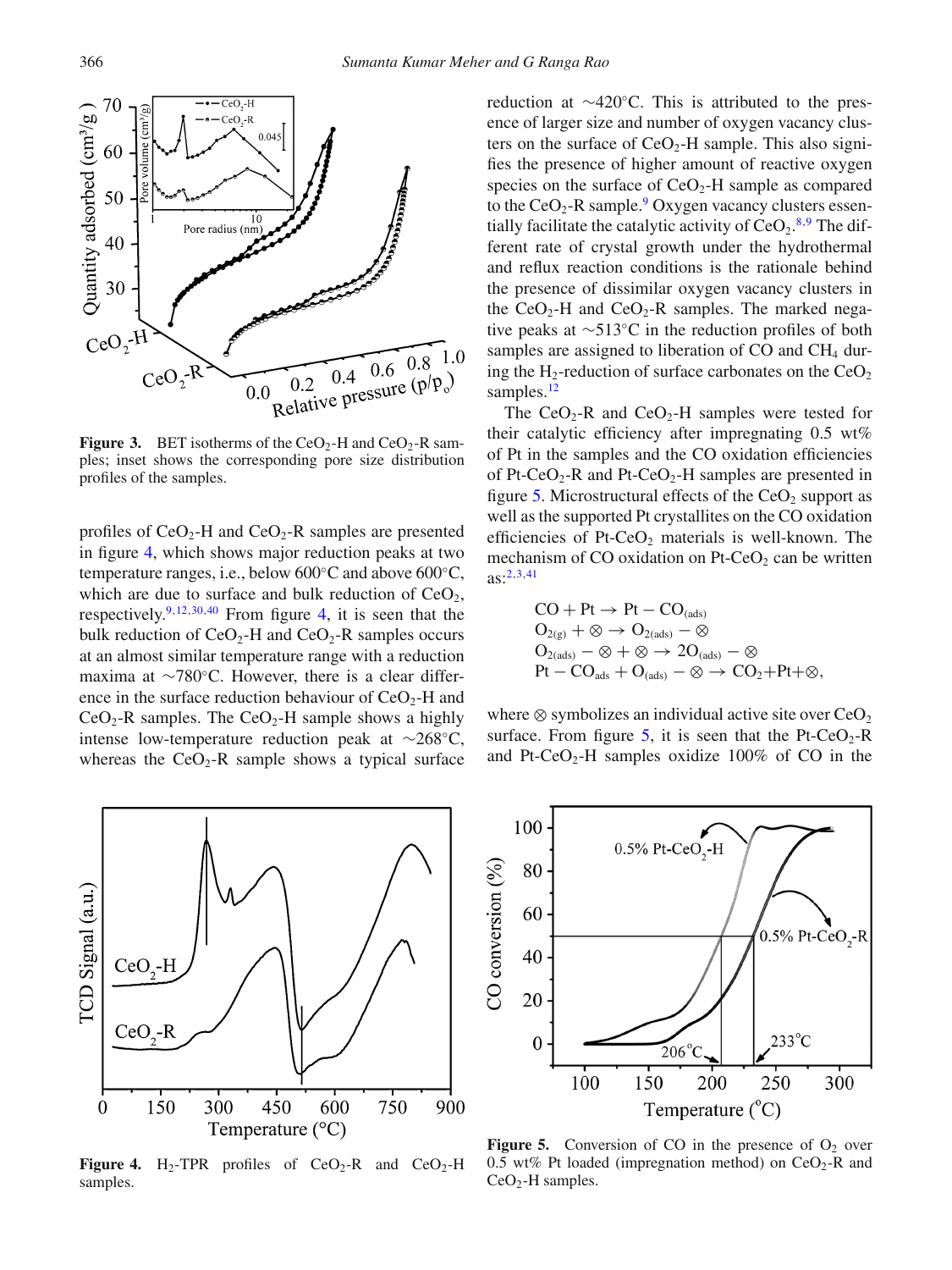<span id="page-5-0"></span>

**Figure 3.** BET isotherms of the  $CeO<sub>2</sub>$ -H and  $CeO<sub>2</sub>$ -R samples; inset shows the corresponding pore size distribution profiles of the samples.

profiles of  $CeO<sub>2</sub>$ -H and  $CeO<sub>2</sub>$ -R samples are presented in figure [4,](#page-5-1) which shows major reduction peaks at two temperature ranges, i.e., below 600◦C and above 600◦C, which are due to surface and bulk reduction of  $CeO<sub>2</sub>$ , respectively. $9,12,30,40$  $9,12,30,40$  $9,12,30,40$  $9,12,30,40$  From figure [4,](#page-5-1) it is seen that the bulk reduction of  $CeO<sub>2</sub>-H$  and  $CeO<sub>2</sub>-R$  samples occurs at an almost similar temperature range with a reduction maxima at ∼780◦C. However, there is a clear difference in the surface reduction behaviour of  $CeO<sub>2</sub>$ -H and  $CeO<sub>2</sub> - R$  samples. The  $CeO<sub>2</sub> - H$  sample shows a highly intense low-temperature reduction peak at ∼268◦C, whereas the  $CeO<sub>2</sub>$ -R sample shows a typical surface

<span id="page-5-1"></span>

**Figure 4.** H<sub>2</sub>-TPR profiles of  $CeO<sub>2</sub>-R$  and  $CeO<sub>2</sub>-H$ samples.

reduction at ∼420◦C. This is attributed to the presence of larger size and number of oxygen vacancy clusters on the surface of  $CeO<sub>2</sub>$ -H sample. This also signifies the presence of higher amount of reactive oxygen species on the surface of  $CeO<sub>2</sub>$ -H sample as compared to the  $CeO<sub>2</sub>$ -R sample.<sup>9</sup> Oxygen vacancy clusters essentially facilitate the catalytic activity of  $CeO<sub>2</sub>$ .<sup>[8](#page-11-24)[,9](#page-11-2)</sup> The different rate of crystal growth under the hydrothermal and reflux reaction conditions is the rationale behind the presence of dissimilar oxygen vacancy clusters in the  $CeO<sub>2</sub>$ -H and  $CeO<sub>2</sub>$ -R samples. The marked negative peaks at ∼513◦C in the reduction profiles of both samples are assigned to liberation of  $CO$  and  $CH<sub>4</sub>$  during the H<sub>2</sub>-reduction of surface carbonates on the  $CeO<sub>2</sub>$ samples.<sup>12</sup>

The  $CeO<sub>2</sub>$ -R and  $CeO<sub>2</sub>$ -H samples were tested for their catalytic efficiency after impregnating 0.5 wt% of Pt in the samples and the CO oxidation efficiencies of Pt-CeO<sub>2</sub>-R and Pt-CeO<sub>2</sub>-H samples are presented in figure [5.](#page-5-2) Microstructural effects of the  $CeO<sub>2</sub>$  support as well as the supported Pt crystallites on the CO oxidation efficiencies of Pt-CeO<sub>2</sub> materials is well-known. The mechanism of CO oxidation on Pt-Ce $O_2$  can be written  $as:^{2,3,41}$  $as:^{2,3,41}$  $as:^{2,3,41}$  $as:^{2,3,41}$ 

$$
\begin{aligned} &\text{CO}+\text{Pt}\rightarrow\text{Pt}-\text{CO}_{\text{(ads)}}\\ &\text{O}_{2(g)}+\otimes\rightarrow\text{O}_{2(\text{ads})}-\otimes\\ &\text{O}_{2(\text{ads})}-\otimes+\otimes\rightarrow2\text{O}_{(\text{ads})}-\otimes\\ &\text{Pt}-\text{CO}_{\text{ads}}+\text{O}_{(\text{ads})}-\otimes\rightarrow\text{CO}_2+\text{Pt}+\otimes, \end{aligned}
$$

where  $\otimes$  symbolizes an individual active site over CeO<sub>2</sub> surface. From figure [5,](#page-5-2) it is seen that the Pt-CeO<sub>2</sub>-R and Pt-CeO<sub>2</sub>-H samples oxidize  $100\%$  of CO in the

<span id="page-5-2"></span>

**Figure 5.** Conversion of CO in the presence of  $O_2$  over 0.5 wt% Pt loaded (impregnation method) on  $CeO<sub>2</sub>$ -R and  $CeO<sub>2</sub>$ -H samples.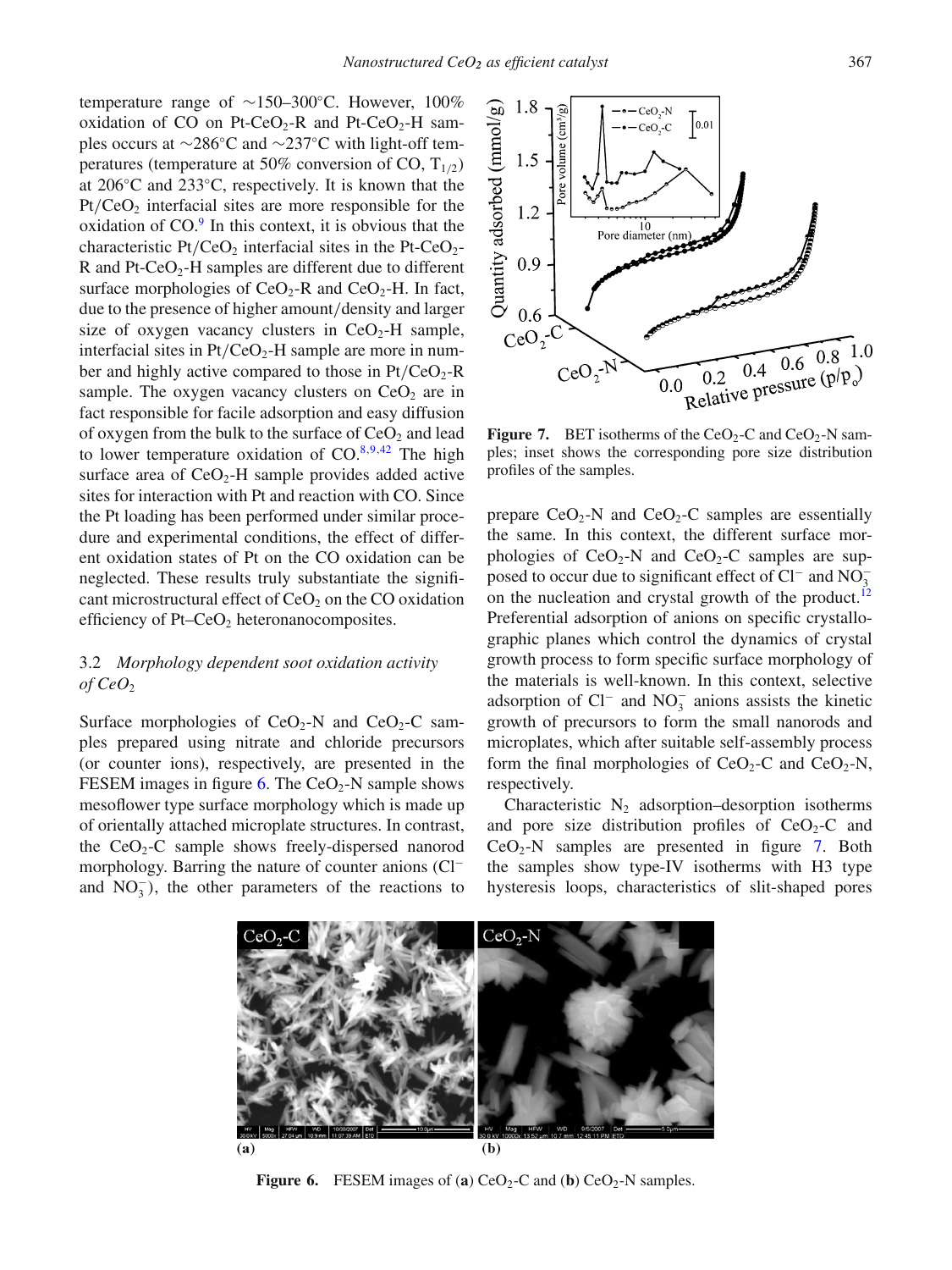temperature range of ∼150–300◦C. However, 100% oxidation of CO on Pt-CeO<sub>2</sub>-R and Pt-CeO<sub>2</sub>-H samples occurs at ∼286◦C and ∼237◦C with light-off temperatures (temperature at 50% conversion of CO,  $T_{1/2}$ ) at 206◦C and 233◦C, respectively. It is known that the Pt/CeO<sub>2</sub> interfacial sites are more responsible for the oxidation of  $CO<sup>9</sup>$  In this context, it is obvious that the characteristic Pt/CeO<sub>2</sub> interfacial sites in the Pt-CeO<sub>2</sub>-R and  $Pt-CeO<sub>2</sub>-H$  samples are different due to different surface morphologies of  $CeO<sub>2</sub>$ -R and  $CeO<sub>2</sub>$ -H. In fact, due to the presence of higher amount*/*density and larger size of oxygen vacancy clusters in  $CeO<sub>2</sub>$ -H sample, interfacial sites in  $Pt/CeO<sub>2</sub>$ -H sample are more in number and highly active compared to those in  $Pt/CeO<sub>2</sub>-R$ sample. The oxygen vacancy clusters on  $CeO<sub>2</sub>$  are in fact responsible for facile adsorption and easy diffusion of oxygen from the bulk to the surface of  $CeO<sub>2</sub>$  and lead to lower temperature oxidation of  $CO^{8,9,42}$  $CO^{8,9,42}$  $CO^{8,9,42}$  $CO^{8,9,42}$ . The high surface area of  $CeO<sub>2</sub>$ -H sample provides added active sites for interaction with Pt and reaction with CO. Since the Pt loading has been performed under similar procedure and experimental conditions, the effect of different oxidation states of Pt on the CO oxidation can be neglected. These results truly substantiate the significant microstructural effect of  $CeO<sub>2</sub>$  on the CO oxidation efficiency of Pt–Ce $O_2$  heteronanocomposites.

## 3.2 *Morphology dependent soot oxidation activity of CeO*<sup>2</sup>

Surface morphologies of  $CeO<sub>2</sub>-N$  and  $CeO<sub>2</sub>-C$  samples prepared using nitrate and chloride precursors (or counter ions), respectively, are presented in the FESEM images in figure [6.](#page-6-0) The  $CeO<sub>2</sub>$ -N sample shows mesoflower type surface morphology which is made up of orientally attached microplate structures. In contrast, the  $CeO<sub>2</sub>-C$  sample shows freely-dispersed nanorod morphology. Barring the nature of counter anions (Cl<sup>−</sup> and  $NO<sub>3</sub><sup>-</sup>$ ), the other parameters of the reactions to

<span id="page-6-1"></span>

**Figure 7.** BET isotherms of the  $CeO<sub>2</sub>-C$  and  $CeO<sub>2</sub>-N$  samples; inset shows the corresponding pore size distribution profiles of the samples.

prepare  $CeO<sub>2</sub>-N$  and  $CeO<sub>2</sub>-C$  samples are essentially the same. In this context, the different surface morphologies of  $CeO<sub>2</sub>-N$  and  $CeO<sub>2</sub>-C$  samples are supposed to occur due to significant effect of  $Cl^-$  and  $NO_3^$ on the nucleation and crystal growth of the product.<sup>12</sup> Preferential adsorption of anions on specific crystallographic planes which control the dynamics of crystal growth process to form specific surface morphology of the materials is well-known. In this context, selective adsorption of  $Cl^-$  and  $NO_3^-$  anions assists the kinetic growth of precursors to form the small nanorods and microplates, which after suitable self-assembly process form the final morphologies of  $CeO<sub>2</sub>-C$  and  $CeO<sub>2</sub>-N$ , respectively.

Characteristic  $N_2$  adsorption–desorption isotherms and pore size distribution profiles of  $CeO<sub>2</sub>-C$  and  $CeO<sub>2</sub>-N$  samples are presented in figure [7.](#page-6-1) Both the samples show type-IV isotherms with H3 type hysteresis loops, characteristics of slit-shaped pores

<span id="page-6-0"></span>

**Figure 6.** FESEM images of (**a**) CeO<sub>2</sub>-C and (**b**) CeO<sub>2</sub>-N samples.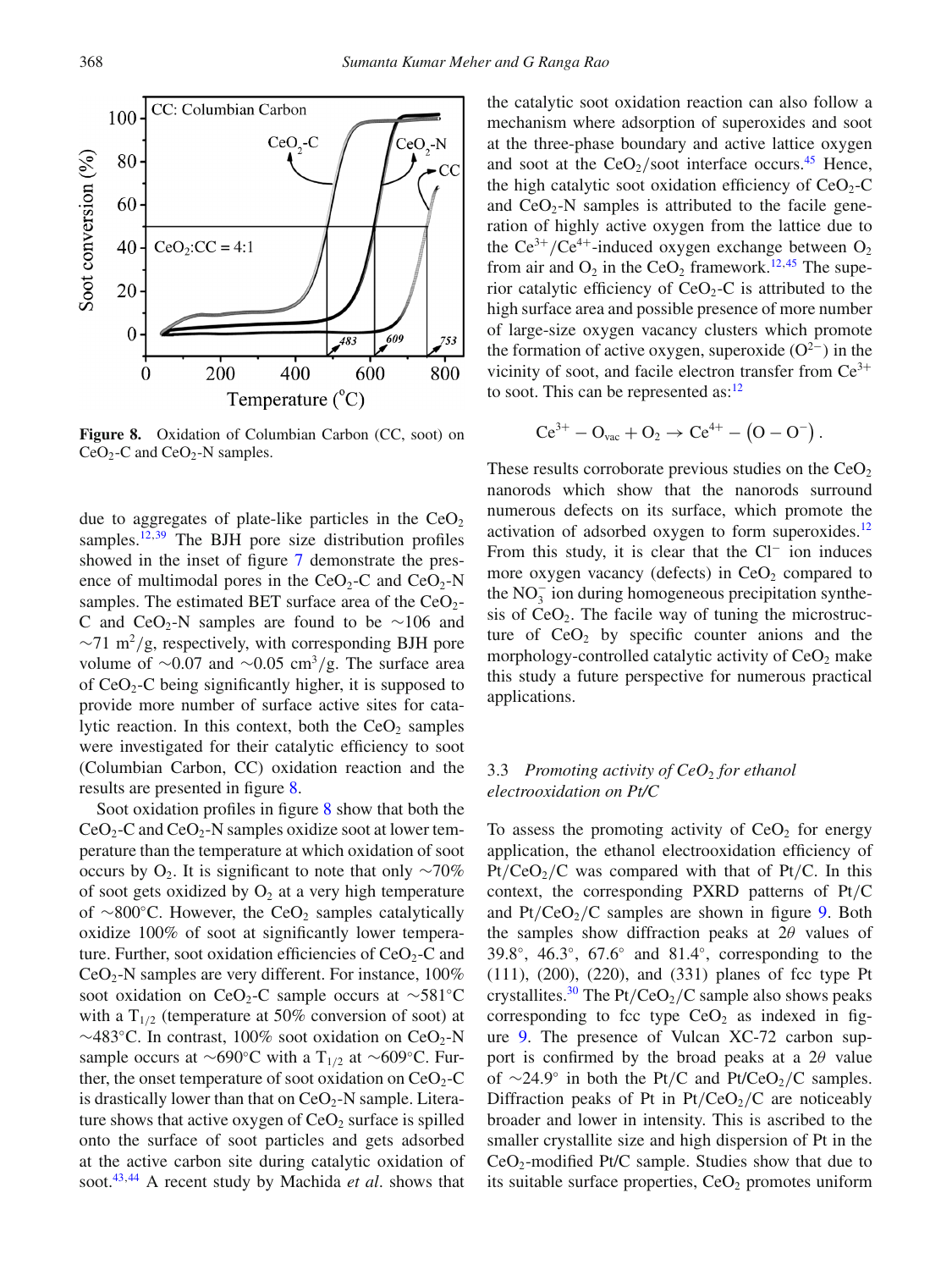<span id="page-7-0"></span>

**Figure 8.** Oxidation of Columbian Carbon (CC, soot) on  $CeO<sub>2</sub>-C$  and  $CeO<sub>2</sub>-N$  samples.

due to aggregates of plate-like particles in the  $CeO<sub>2</sub>$ samples.<sup>12[,39](#page-11-22)</sup> The BJH pore size distribution profiles showed in the inset of figure [7](#page-6-1) demonstrate the presence of multimodal pores in the  $CeO<sub>2</sub>-C$  and  $CeO<sub>2</sub>-N$ samples. The estimated BET surface area of the  $CeO<sub>2</sub>$ -C and CeO<sub>2</sub>-N samples are found to be ∼106 and ∼71 m2*/*g, respectively, with corresponding BJH pore volume of ∼0.07 and ∼0.05 cm3*/*g. The surface area of  $CeO<sub>2</sub>-C$  being significantly higher, it is supposed to provide more number of surface active sites for catalytic reaction. In this context, both the  $CeO<sub>2</sub>$  samples were investigated for their catalytic efficiency to soot (Columbian Carbon, CC) oxidation reaction and the results are presented in figure [8.](#page-7-0)

Soot oxidation profiles in figure [8](#page-7-0) show that both the  $CeO<sub>2</sub>-C$  and  $CeO<sub>2</sub>-N$  samples oxidize soot at lower temperature than the temperature at which oxidation of soot occurs by  $O_2$ . It is significant to note that only ∼70% of soot gets oxidized by  $O_2$  at a very high temperature of ∼800 °C. However, the CeO<sub>2</sub> samples catalytically oxidize 100% of soot at significantly lower temperature. Further, soot oxidation efficiencies of  $CeO<sub>2</sub>-C$  and  $CeO<sub>2</sub>$ -N samples are very different. For instance, 100% soot oxidation on CeO<sub>2</sub>-C sample occurs at ∼581°C with a  $T_{1/2}$  (temperature at 50% conversion of soot) at  $\sim$ 483°C. In contrast, 100% soot oxidation on CeO<sub>2</sub>-N sample occurs at ∼690°C with a T<sub>1/2</sub> at ∼609°C. Further, the onset temperature of soot oxidation on  $CeO<sub>2</sub>-C$ is drastically lower than that on  $CeO<sub>2</sub>$ -N sample. Literature shows that active oxygen of  $CeO<sub>2</sub>$  surface is spilled onto the surface of soot particles and gets adsorbed at the active carbon site during catalytic oxidation of soot[.43,](#page-11-27)[44](#page-11-28) A recent study by Machida *et al*. shows that the catalytic soot oxidation reaction can also follow a mechanism where adsorption of superoxides and soot at the three-phase boundary and active lattice oxygen and soot at the  $CeO<sub>2</sub>/soot$  interface occurs.<sup>45</sup> Hence, the high catalytic soot oxidation efficiency of  $CeO<sub>2</sub>-C$ and  $CeO<sub>2</sub>-N$  samples is attributed to the facile generation of highly active oxygen from the lattice due to the  $Ce^{3+}/Ce^{4+}$ -induced oxygen exchange between  $O_2$ from air and  $O_2$  in the CeO<sub>2</sub> framework.<sup>12,[45](#page-11-29)</sup> The superior catalytic efficiency of  $CeO<sub>2</sub>-C$  is attributed to the high surface area and possible presence of more number of large-size oxygen vacancy clusters which promote the formation of active oxygen, superoxide (O2−*)* in the vicinity of soot, and facile electron transfer from  $Ce^{3+}$ to soot. This can be represented as: $12$ 

$$
Ce^{3+} - O_{vac} + O_2 \rightarrow Ce^{4+} - (O - O^{-}).
$$

These results corroborate previous studies on the  $CeO<sub>2</sub>$ nanorods which show that the nanorods surround numerous defects on its surface, which promote the activation of adsorbed oxygen to form superoxides.<sup>12</sup> From this study, it is clear that the Cl<sup>−</sup> ion induces more oxygen vacancy (defects) in  $CeO<sub>2</sub>$  compared to the NO<sup>−</sup> <sup>3</sup> ion during homogeneous precipitation synthesis of  $CeO<sub>2</sub>$ . The facile way of tuning the microstructure of  $CeO<sub>2</sub>$  by specific counter anions and the morphology-controlled catalytic activity of  $CeO<sub>2</sub>$  make this study a future perspective for numerous practical applications.

## 3.3 *Promoting activity of CeO*<sup>2</sup> *for ethanol electrooxidation on Pt/C*

To assess the promoting activity of  $CeO<sub>2</sub>$  for energy application, the ethanol electrooxidation efficiency of  $Pt/CeO<sub>2</sub>/C$  was compared with that of  $Pt/C$ . In this context, the corresponding PXRD patterns of Pt*/*C and  $Pt/CeO<sub>2</sub>/C$  samples are shown in figure [9.](#page-8-0) Both the samples show diffraction peaks at 2*θ* values of 39.8◦, 46.3◦, 67.6◦ and 81.4◦, corresponding to the (111), (200), (220), and (331) planes of fcc type Pt crystallites.<sup>30</sup> The Pt/CeO<sub>2</sub>/C sample also shows peaks corresponding to fcc type  $CeO<sub>2</sub>$  as indexed in figure [9.](#page-8-0) The presence of Vulcan XC-72 carbon support is confirmed by the broad peaks at a 2*θ* value of ∼24.9° in both the Pt/C and Pt/CeO<sub>2</sub>/C samples. Diffraction peaks of Pt in  $Pt/CeO<sub>2</sub>/C$  are noticeably broader and lower in intensity. This is ascribed to the smaller crystallite size and high dispersion of Pt in the  $CeO<sub>2</sub>$ -modified Pt/C sample. Studies show that due to its suitable surface properties,  $CeO<sub>2</sub>$  promotes uniform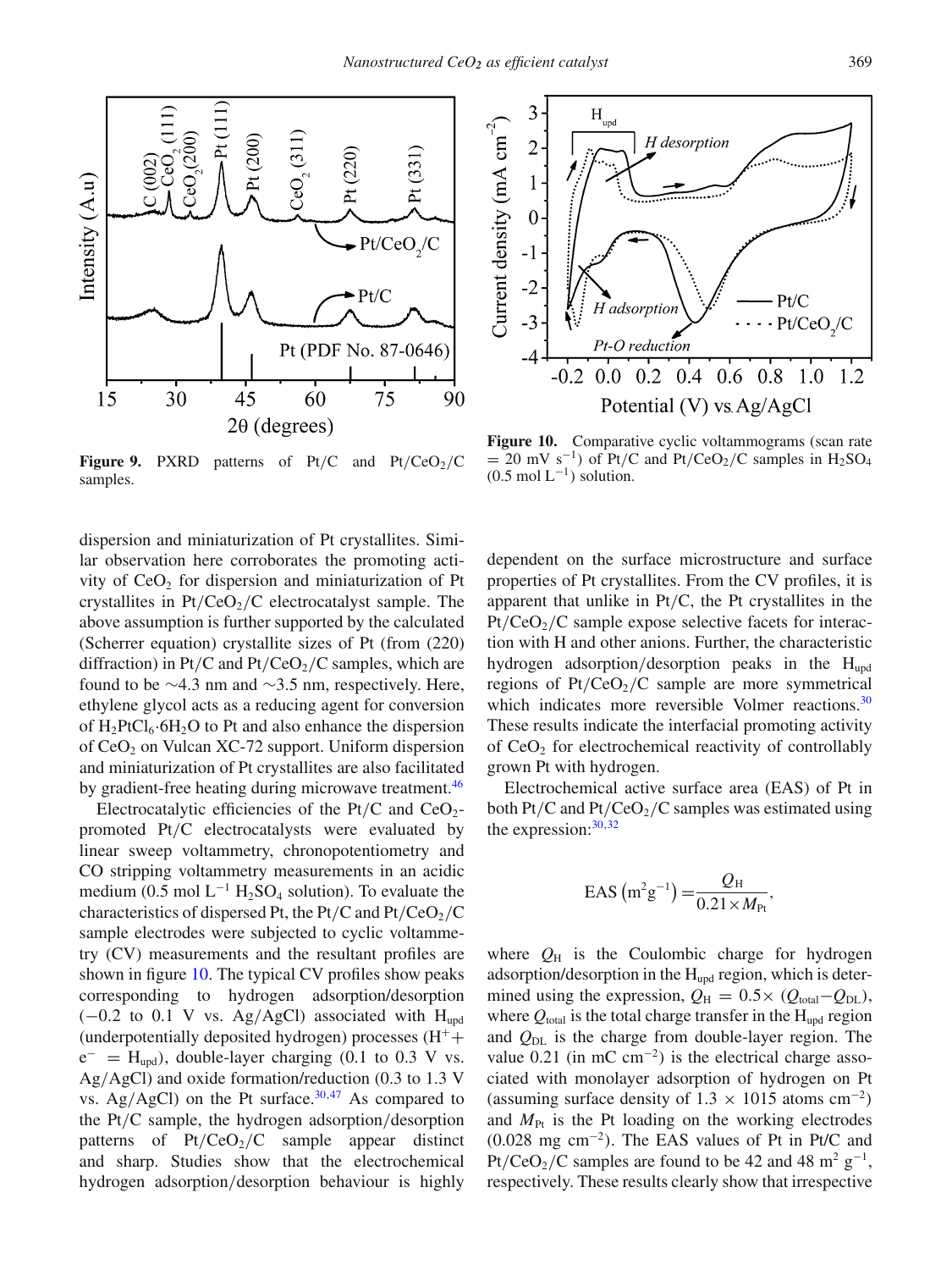<span id="page-8-0"></span>

**Figure 9.** PXRD patterns of Pt/C and Pt/CeO<sub>2</sub>/C samples.

dispersion and miniaturization of Pt crystallites. Similar observation here corroborates the promoting activity of  $CeO<sub>2</sub>$  for dispersion and miniaturization of Pt crystallites in Pt/CeO<sub>2</sub>/C electrocatalyst sample. The above assumption is further supported by the calculated (Scherrer equation) crystallite sizes of Pt (from (220) diffraction) in Pt/C and Pt/CeO<sub>2</sub>/C samples, which are found to be  $\sim$ 4.3 nm and  $\sim$ 3.5 nm, respectively. Here, ethylene glycol acts as a reducing agent for conversion of  $H_2PtCl_6·6H_2O$  to Pt and also enhance the dispersion of  $CeO<sub>2</sub>$  on Vulcan XC-72 support. Uniform dispersion and miniaturization of Pt crystallites are also facilitated by gradient-free heating during microwave treatment.<sup>46</sup>

Electrocatalytic efficiencies of the Pt/C and  $CeO<sub>2</sub>$ promoted Pt*/*C electrocatalysts were evaluated by linear sweep voltammetry, chronopotentiometry and CO stripping voltammetry measurements in an acidic medium (0.5 mol  $L^{-1}$  H<sub>2</sub>SO<sub>4</sub> solution). To evaluate the characteristics of dispersed Pt, the Pt/C and Pt/CeO<sub>2</sub>/C sample electrodes were subjected to cyclic voltammetry (CV) measurements and the resultant profiles are shown in figure [10.](#page-8-1) The typical CV profiles show peaks corresponding to hydrogen adsorption/desorption (−0*.*2 to 0.1 V vs. Ag*/*AgCl) associated with Hupd (underpotentially deposited hydrogen) processes  $(H^+ +$  $e^-$  = H<sub>upd</sub>), double-layer charging (0.1 to 0.3 V vs. Ag*/*AgCl) and oxide formation/reduction (0.3 to 1.3 V vs. Ag/AgCl) on the Pt surface.<sup>30,[47](#page-11-31)</sup> As compared to the Pt*/*C sample, the hydrogen adsorption*/*desorption patterns of Pt/CeO<sub>2</sub>/C sample appear distinct and sharp. Studies show that the electrochemical hydrogen adsorption*/*desorption behaviour is highly

<span id="page-8-1"></span>

Figure 10. Comparative cyclic voltammograms (scan rate  $= 20$  mV s<sup>-1</sup>) of Pt/C and Pt/CeO<sub>2</sub>/C samples in H<sub>2</sub>SO<sub>4</sub>  $(0.5 \text{ mol L}^{-1})$  solution.

dependent on the surface microstructure and surface properties of Pt crystallites. From the CV profiles, it is apparent that unlike in Pt*/*C, the Pt crystallites in the Pt/CeO<sub>2</sub>/C sample expose selective facets for interaction with H and other anions. Further, the characteristic hydrogen adsorption/desorption peaks in the H<sub>und</sub> regions of  $Pt/CeO<sub>2</sub>/C$  sample are more symmetrical which indicates more reversible Volmer reactions.<sup>30</sup> These results indicate the interfacial promoting activity of CeO<sub>2</sub> for electrochemical reactivity of controllably grown Pt with hydrogen.

Electrochemical active surface area (EAS) of Pt in both Pt/C and Pt/CeO<sub>2</sub>/C samples was estimated using the expression:  $30,32$  $30,32$ 

EAS 
$$
(m^2 g^{-1}) = \frac{Q_H}{0.21 \times M_{Pt}}
$$
,

where  $Q_H$  is the Coulombic charge for hydrogen adsorption/desorption in the  $H_{\text{upd}}$  region, which is determined using the expression,  $Q_H = 0.5 \times (Q_{total} - Q_{DL})$ , where  $Q_{\text{total}}$  is the total charge transfer in the  $H_{\text{upd}}$  region and  $Q_{\text{DL}}$  is the charge from double-layer region. The value 0.21 (in mC cm−<sup>2</sup>*)* is the electrical charge associated with monolayer adsorption of hydrogen on Pt (assuming surface density of  $1.3 \times 1015$  atoms cm<sup>-2</sup>) and  $M_{\text{Pt}}$  is the Pt loading on the working electrodes (0.028 mg cm−<sup>2</sup>*)*. The EAS values of Pt in Pt/C and Pt/CeO<sub>2</sub>/C samples are found to be 42 and 48 m<sup>2</sup> g<sup>-1</sup>, respectively. These results clearly show that irrespective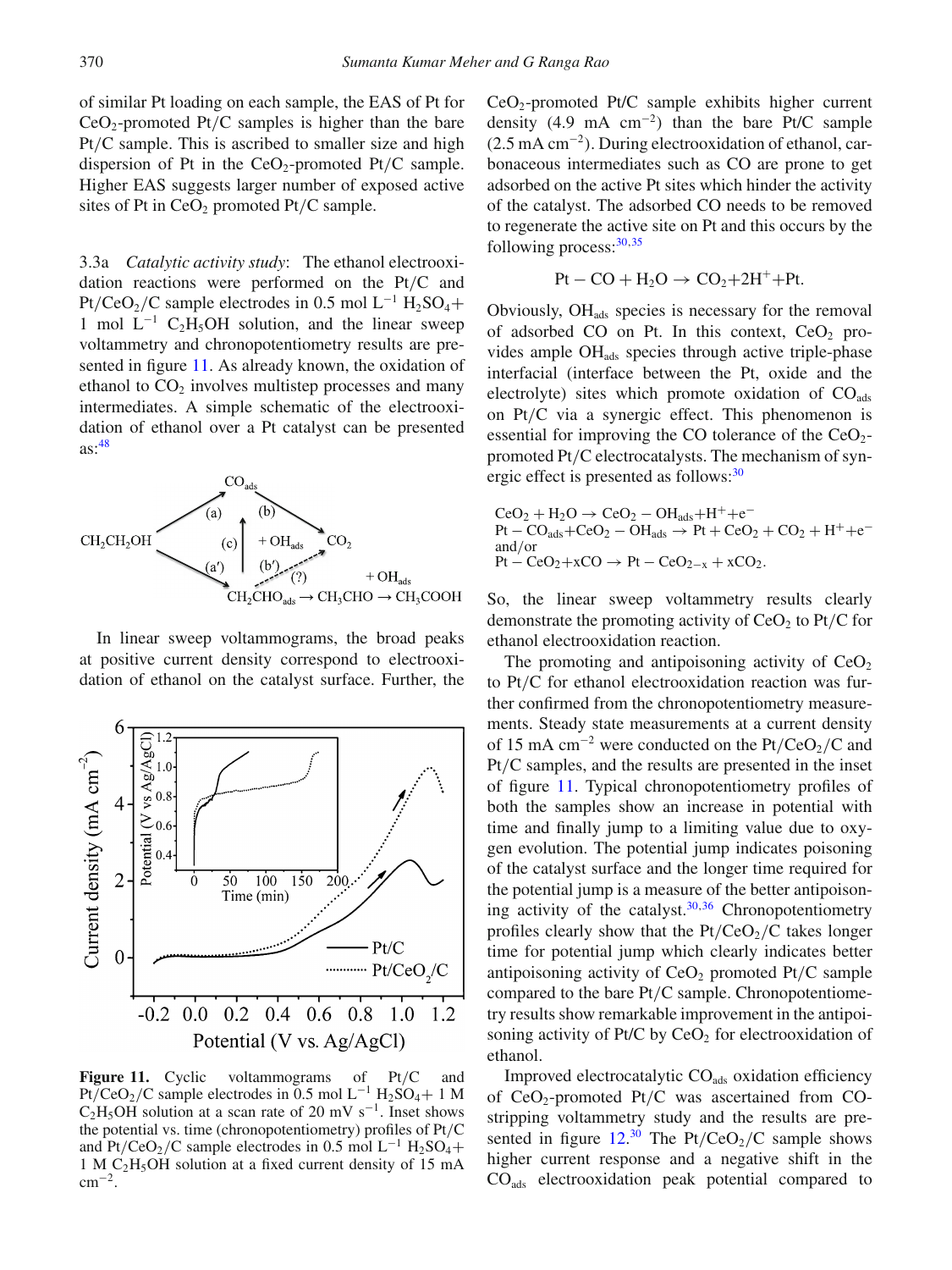of similar Pt loading on each sample, the EAS of Pt for  $CeO<sub>2</sub>$ -promoted Pt/C samples is higher than the bare Pt*/*C sample. This is ascribed to smaller size and high dispersion of Pt in the CeO<sub>2</sub>-promoted Pt/C sample. Higher EAS suggests larger number of exposed active sites of Pt in CeO<sub>2</sub> promoted Pt/C sample.

3.3a *Catalytic activity study*: The ethanol electrooxidation reactions were performed on the Pt*/*C and Pt/CeO<sub>2</sub>/C sample electrodes in 0.5 mol L<sup>-1</sup> H<sub>2</sub>SO<sub>4</sub>+ 1 mol  $L^{-1}$  C<sub>2</sub>H<sub>5</sub>OH solution, and the linear sweep voltammetry and chronopotentiometry results are presented in figure [11.](#page-9-0) As already known, the oxidation of ethanol to  $CO<sub>2</sub>$  involves multistep processes and many intermediates. A simple schematic of the electrooxidation of ethanol over a Pt catalyst can be presented as[:48](#page-11-33)



In linear sweep voltammograms, the broad peaks at positive current density correspond to electrooxidation of ethanol on the catalyst surface. Further, the

<span id="page-9-0"></span>

**Figure 11.** Cyclic voltammograms of Pt*/*C and Pt/CeO<sub>2</sub>/C sample electrodes in 0.5 mol L<sup>-1</sup> H<sub>2</sub>SO<sub>4</sub>+ 1 M C<sub>2</sub>H<sub>5</sub>OH solution at a scan rate of 20 mV s<sup>-1</sup>. Inset shows the potential vs. time (chronopotentiometry) profiles of Pt*/*C and Pt/CeO<sub>2</sub>/C sample electrodes in 0.5 mol L<sup>-1</sup> H<sub>2</sub>SO<sub>4</sub>+ 1MC2H5OH solution at a fixed current density of 15 mA  $cm^{-2}$ .

 $CeO<sub>2</sub>$ -promoted Pt/C sample exhibits higher current density (4.9 mA cm−<sup>2</sup>*)* than the bare Pt/C sample (2.5 mA cm−<sup>2</sup>*)*. During electrooxidation of ethanol, carbonaceous intermediates such as CO are prone to get adsorbed on the active Pt sites which hinder the activity of the catalyst. The adsorbed CO needs to be removed to regenerate the active site on Pt and this occurs by the following process: $30,35$  $30,35$ 

$$
Pt - CO + H_2O \rightarrow CO_2 + 2H^+ + Pt.
$$

Obviously,  $OH<sub>ads</sub>$  species is necessary for the removal of adsorbed CO on Pt. In this context,  $CeO<sub>2</sub>$  provides ample OHads species through active triple-phase interfacial (interface between the Pt, oxide and the electrolyte) sites which promote oxidation of  $CO<sub>ads</sub>$ on Pt*/*C via a synergic effect. This phenomenon is essential for improving the CO tolerance of the  $CeO<sub>2</sub>$ promoted Pt*/*C electrocatalysts. The mechanism of synergic effect is presented as follows:<sup>30</sup>

$$
CeO2 + H2O \rightarrow CeO2 - OHads + H+ + e-
$$
  
Pt – CO<sub>ads</sub>+CeO<sub>2</sub> - OH<sub>ads</sub>  $\rightarrow$  Pt + CeO<sub>2</sub> + CO<sub>2</sub> + H<sup>+</sup> + e<sup>-</sup>  
and/or  
Pt – CeO<sub>2</sub>+xCO  $\rightarrow$  Pt – CeO<sub>2-x</sub> + xCO<sub>2</sub>.

So, the linear sweep voltammetry results clearly demonstrate the promoting activity of  $CeO<sub>2</sub>$  to  $Pt/C$  for ethanol electrooxidation reaction.

The promoting and antipoisoning activity of  $CeO<sub>2</sub>$ to Pt*/*C for ethanol electrooxidation reaction was further confirmed from the chronopotentiometry measurements. Steady state measurements at a current density of 15 mA cm<sup>−2</sup> were conducted on the Pt/CeO<sub>2</sub>/C and Pt*/*C samples, and the results are presented in the inset of figure [11.](#page-9-0) Typical chronopotentiometry profiles of both the samples show an increase in potential with time and finally jump to a limiting value due to oxygen evolution. The potential jump indicates poisoning of the catalyst surface and the longer time required for the potential jump is a measure of the better antipoisoning activity of the catalyst. $30,36$  $30,36$  Chronopotentiometry profiles clearly show that the  $Pt/CeO<sub>2</sub>/C$  takes longer time for potential jump which clearly indicates better antipoisoning activity of  $CeO<sub>2</sub>$  promoted Pt/C sample compared to the bare Pt*/*C sample. Chronopotentiometry results show remarkable improvement in the antipoisoning activity of Pt/C by  $CeO<sub>2</sub>$  for electrooxidation of ethanol.

Improved electrocatalytic CO<sub>ads</sub> oxidation efficiency of CeO2-promoted Pt*/*C was ascertained from COstripping voltammetry study and the results are presented in figure  $12.^{30}$  $12.^{30}$  $12.^{30}$  $12.^{30}$  The Pt/CeO<sub>2</sub>/C sample shows higher current response and a negative shift in the COads electrooxidation peak potential compared to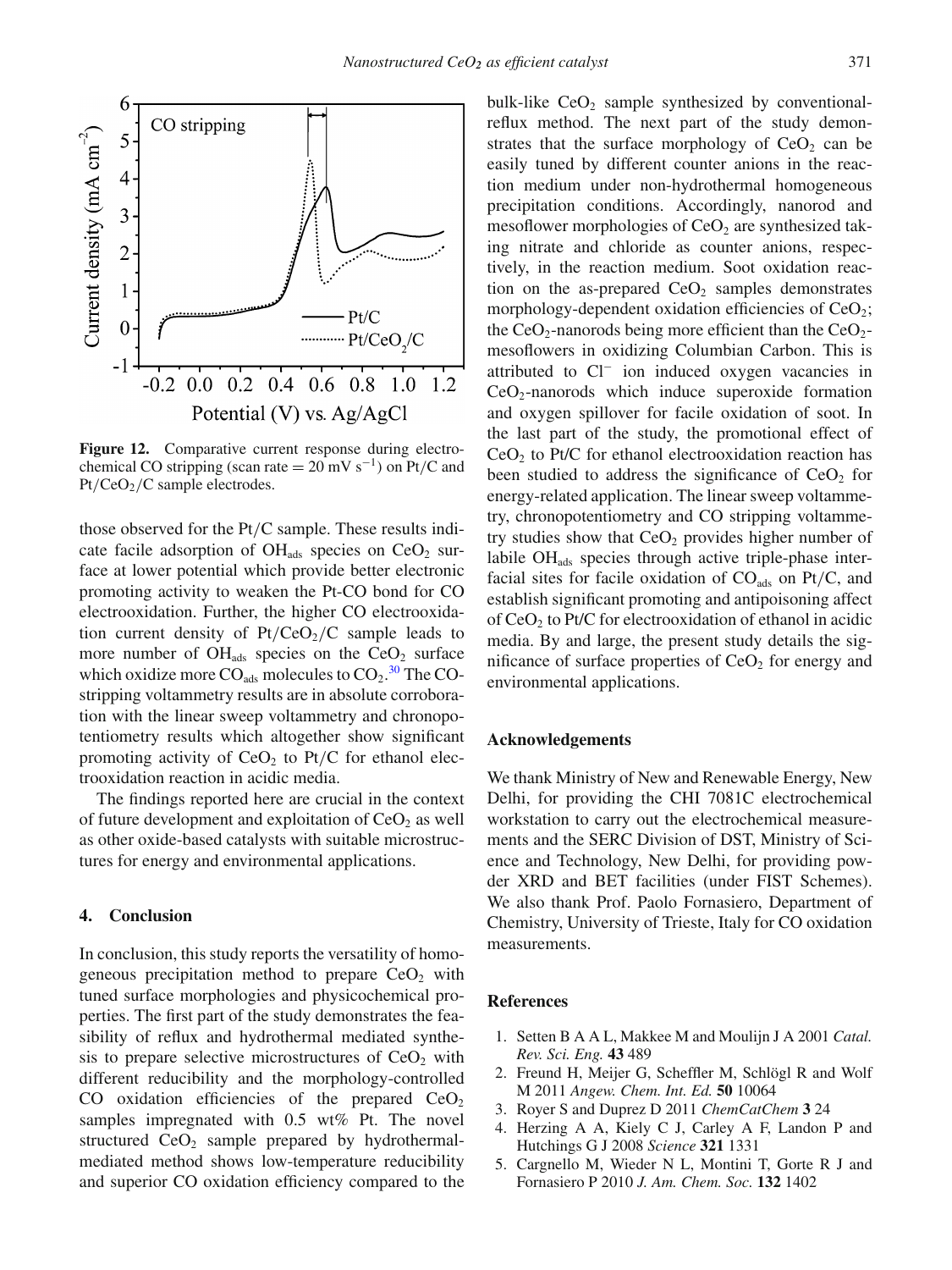<span id="page-10-3"></span>

Figure 12. Comparative current response during electrochemical CO stripping (scan rate =  $20 \text{ mV s}^{-1}$ ) on Pt/C and Pt*/*CeO2*/*C sample electrodes.

those observed for the Pt*/*C sample. These results indicate facile adsorption of  $OH_{ads}$  species on  $CeO<sub>2</sub>$  surface at lower potential which provide better electronic promoting activity to weaken the Pt-CO bond for CO electrooxidation. Further, the higher CO electrooxidation current density of  $Pt/CeO<sub>2</sub>/C$  sample leads to more number of  $OH<sub>ads</sub>$  species on the  $CeO<sub>2</sub>$  surface which oxidize more  $CO_{ads}$  molecules to  $CO_2$ .<sup>[30](#page-11-18)</sup> The COstripping voltammetry results are in absolute corroboration with the linear sweep voltammetry and chronopotentiometry results which altogether show significant promoting activity of  $CeO<sub>2</sub>$  to  $Pt/C$  for ethanol electrooxidation reaction in acidic media.

The findings reported here are crucial in the context of future development and exploitation of  $CeO<sub>2</sub>$  as well as other oxide-based catalysts with suitable microstructures for energy and environmental applications.

### **4. Conclusion**

In conclusion, this study reports the versatility of homogeneous precipitation method to prepare  $CeO<sub>2</sub>$  with tuned surface morphologies and physicochemical properties. The first part of the study demonstrates the feasibility of reflux and hydrothermal mediated synthesis to prepare selective microstructures of  $CeO<sub>2</sub>$  with different reducibility and the morphology-controlled CO oxidation efficiencies of the prepared  $CeO<sub>2</sub>$ samples impregnated with 0.5 wt% Pt. The novel structured  $CeO<sub>2</sub>$  sample prepared by hydrothermalmediated method shows low-temperature reducibility and superior CO oxidation efficiency compared to the bulk-like  $CeO<sub>2</sub>$  sample synthesized by conventionalreflux method. The next part of the study demonstrates that the surface morphology of  $CeO<sub>2</sub>$  can be easily tuned by different counter anions in the reaction medium under non-hydrothermal homogeneous precipitation conditions. Accordingly, nanorod and mesoflower morphologies of  $CeO<sub>2</sub>$  are synthesized taking nitrate and chloride as counter anions, respectively, in the reaction medium. Soot oxidation reaction on the as-prepared  $CeO<sub>2</sub>$  samples demonstrates morphology-dependent oxidation efficiencies of  $CeO<sub>2</sub>$ ; the  $CeO<sub>2</sub>$ -nanorods being more efficient than the  $CeO<sub>2</sub>$ mesoflowers in oxidizing Columbian Carbon. This is attributed to Cl<sup>−</sup> ion induced oxygen vacancies in  $CeO<sub>2</sub>$ -nanorods which induce superoxide formation and oxygen spillover for facile oxidation of soot. In the last part of the study, the promotional effect of  $CeO<sub>2</sub>$  to Pt/C for ethanol electrooxidation reaction has been studied to address the significance of  $CeO<sub>2</sub>$  for energy-related application. The linear sweep voltammetry, chronopotentiometry and CO stripping voltammetry studies show that  $CeO<sub>2</sub>$  provides higher number of labile OHads species through active triple-phase interfacial sites for facile oxidation of  $CO<sub>ads</sub>$  on Pt/C, and establish significant promoting and antipoisoning affect of  $CeO<sub>2</sub>$  to Pt/C for electrooxidation of ethanol in acidic media. By and large, the present study details the significance of surface properties of  $CeO<sub>2</sub>$  for energy and environmental applications.

#### **Acknowledgements**

We thank Ministry of New and Renewable Energy, New Delhi, for providing the CHI 7081C electrochemical workstation to carry out the electrochemical measurements and the SERC Division of DST, Ministry of Science and Technology, New Delhi, for providing powder XRD and BET facilities (under FIST Schemes). We also thank Prof. Paolo Fornasiero, Department of Chemistry, University of Trieste, Italy for CO oxidation measurements.

#### **References**

- <span id="page-10-0"></span>1. Setten B A A L, Makkee M and Moulijn J A 2001 *Catal. Rev. Sci. Eng.* **43** 489
- <span id="page-10-1"></span>2. Freund H, Meijer G, Scheffler M, Schlögl R and Wolf M 2011 *Angew. Chem. Int. Ed.* **50** 10064
- <span id="page-10-2"></span>3. Royer S and Duprez D 2011 *ChemCatChem* **3** 24
- 4. Herzing A A, Kiely C J, Carley A F, Landon P and Hutchings G J 2008 *Science* **321** 1331
- 5. Cargnello M, Wieder N L, Montini T, Gorte R J and Fornasiero P 2010 *J. Am. Chem. Soc.* **132** 1402